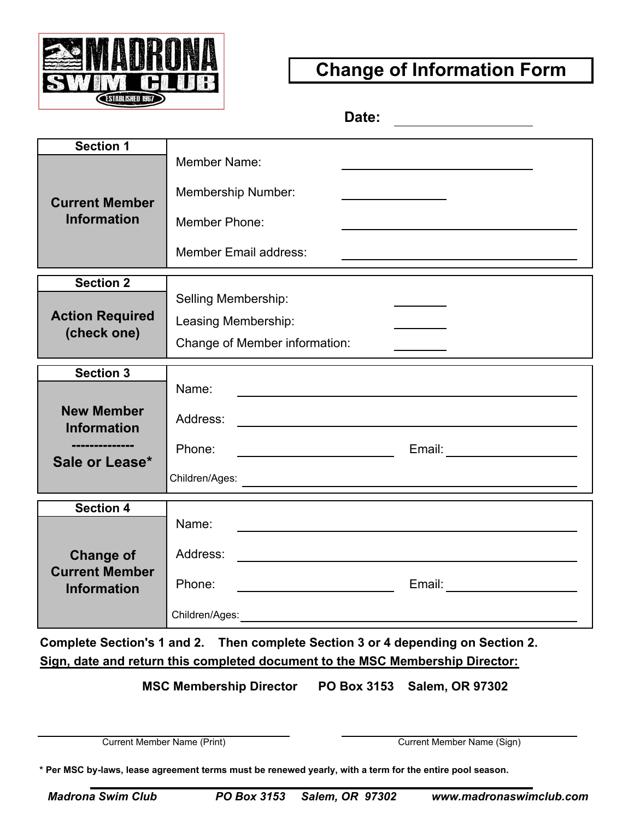

## **Change of Information Form**

**Date:**

| <b>Section 1</b>                            | Member Name:                                                                                                                      |
|---------------------------------------------|-----------------------------------------------------------------------------------------------------------------------------------|
| <b>Current Member</b><br><b>Information</b> |                                                                                                                                   |
|                                             | <b>Membership Number:</b>                                                                                                         |
|                                             | Member Phone:                                                                                                                     |
|                                             | <b>Member Email address:</b>                                                                                                      |
| <b>Section 2</b>                            |                                                                                                                                   |
| <b>Action Required</b><br>(check one)       | Selling Membership:                                                                                                               |
|                                             | Leasing Membership:                                                                                                               |
|                                             | Change of Member information:                                                                                                     |
| <b>Section 3</b>                            |                                                                                                                                   |
|                                             | Name:<br><u> 1989 - Johann Harry Harry Harry Harry Harry Harry Harry Harry Harry Harry Harry Harry Harry Harry Harry Harry</u>    |
| <b>New Member</b><br><b>Information</b>     | Address:<br><u> 1980 - Johann Barn, mars ann an t-Amhain Aonaichte ann an t-Amhain Aonaichte ann an t-Amhain Aonaichte ann an</u> |
|                                             | Phone:                                                                                                                            |
| Sale or Lease*                              | Children/Ages:<br><u> 1980 - Johann Barnett, fransk politik (d. 1980)</u>                                                         |
| <b>Section 4</b>                            |                                                                                                                                   |
|                                             | Name:                                                                                                                             |
| <b>Change of</b>                            | Address:                                                                                                                          |
| <b>Current Member</b><br><b>Information</b> | Phone:<br><u> 1990 - Johann Barbara, martin a</u>                                                                                 |
|                                             | Children/Ages: Children/Ages: Children                                                                                            |

**Complete Section's 1 and 2. Then complete Section 3 or 4 depending on Section 2. Sign, date and return this completed document to the MSC Membership Director:**

 **MSC Membership Director PO Box 3153 Salem, OR 97302**

**Current Member Name (Print)** Current Member Name (Sign)

**\* Per MSC by-laws, lease agreement terms must be renewed yearly, with a term for the entire pool season.**